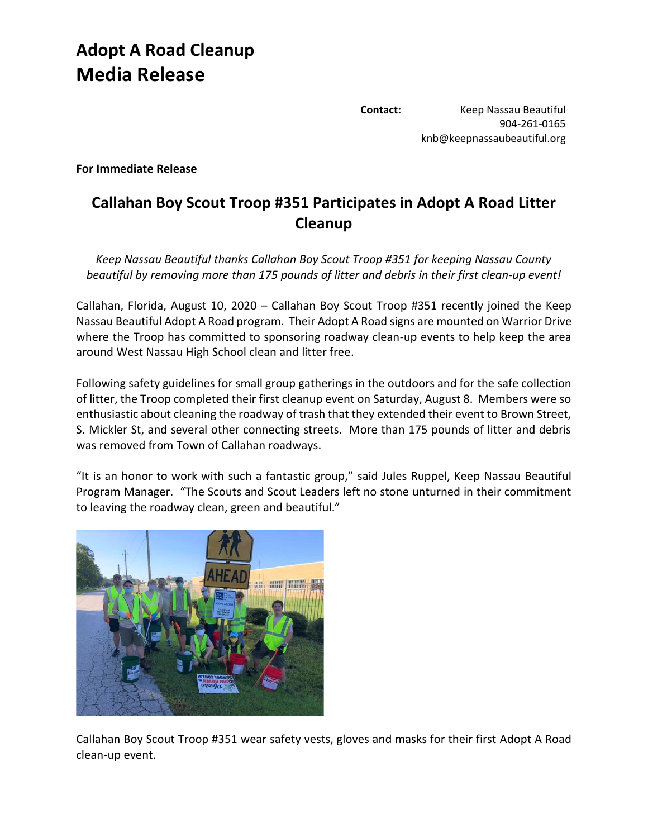## **Adopt A Road Cleanup Media Release**

**Contact:** Keep Nassau Beautiful 904-261-0165 knb@keepnassaubeautiful.org

**For Immediate Release**

## **Callahan Boy Scout Troop #351 Participates in Adopt A Road Litter Cleanup**

*Keep Nassau Beautiful thanks Callahan Boy Scout Troop #351 for keeping Nassau County beautiful by removing more than 175 pounds of litter and debris in their first clean-up event!*

Callahan, Florida, August 10, 2020 – Callahan Boy Scout Troop #351 recently joined the Keep Nassau Beautiful Adopt A Road program. Their Adopt A Road signs are mounted on Warrior Drive where the Troop has committed to sponsoring roadway clean-up events to help keep the area around West Nassau High School clean and litter free.

Following safety guidelines for small group gatherings in the outdoors and for the safe collection of litter, the Troop completed their first cleanup event on Saturday, August 8. Members were so enthusiastic about cleaning the roadway of trash that they extended their event to Brown Street, S. Mickler St, and several other connecting streets. More than 175 pounds of litter and debris was removed from Town of Callahan roadways.

"It is an honor to work with such a fantastic group," said Jules Ruppel, Keep Nassau Beautiful Program Manager. "The Scouts and Scout Leaders left no stone unturned in their commitment to leaving the roadway clean, green and beautiful."



Callahan Boy Scout Troop #351 wear safety vests, gloves and masks for their first Adopt A Road clean-up event.